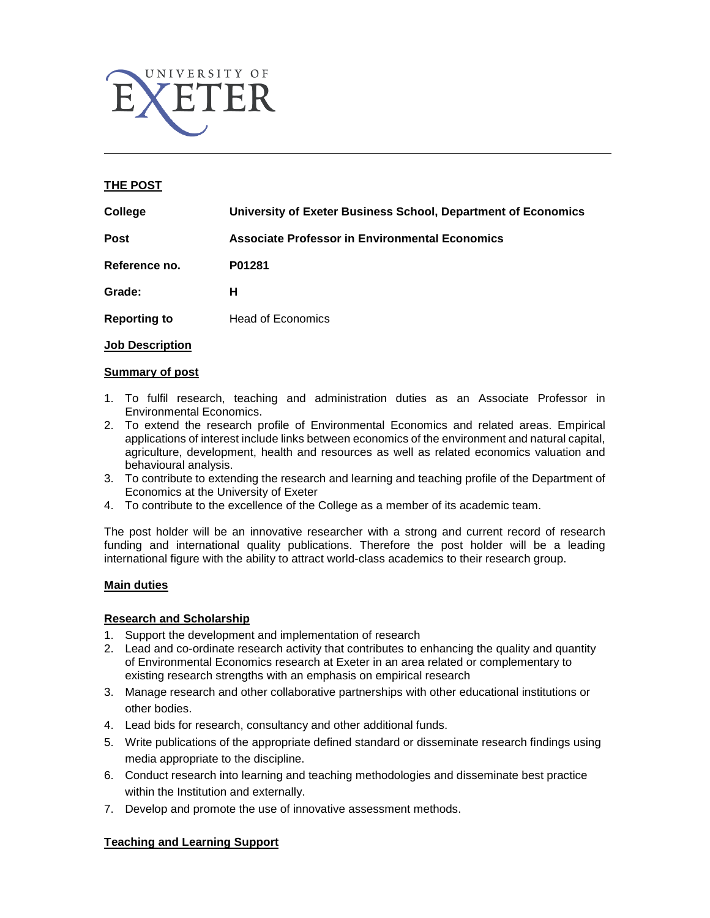

## **THE POST**

| College             | University of Exeter Business School, Department of Economics |
|---------------------|---------------------------------------------------------------|
| Post                | <b>Associate Professor in Environmental Economics</b>         |
| Reference no.       | P01281                                                        |
| Grade:              | н                                                             |
| <b>Reporting to</b> | <b>Head of Economics</b>                                      |
|                     |                                                               |

## **Job Description**

## **Summary of post**

- 1. To fulfil research, teaching and administration duties as an Associate Professor in Environmental Economics.
- 2. To extend the research profile of Environmental Economics and related areas. Empirical applications of interest include links between economics of the environment and natural capital, agriculture, development, health and resources as well as related economics valuation and behavioural analysis.
- 3. To contribute to extending the research and learning and teaching profile of the Department of Economics at the University of Exeter
- 4. To contribute to the excellence of the College as a member of its academic team.

The post holder will be an innovative researcher with a strong and current record of research funding and international quality publications. Therefore the post holder will be a leading international figure with the ability to attract world-class academics to their research group.

## **Main duties**

## **Research and Scholarship**

- 1. Support the development and implementation of research
- 2. Lead and co-ordinate research activity that contributes to enhancing the quality and quantity of Environmental Economics research at Exeter in an area related or complementary to existing research strengths with an emphasis on empirical research
- 3. Manage research and other collaborative partnerships with other educational institutions or other bodies.
- 4. Lead bids for research, consultancy and other additional funds.
- 5. Write publications of the appropriate defined standard or disseminate research findings using media appropriate to the discipline.
- 6. Conduct research into learning and teaching methodologies and disseminate best practice within the Institution and externally.
- 7. Develop and promote the use of innovative assessment methods.

# **Teaching and Learning Support**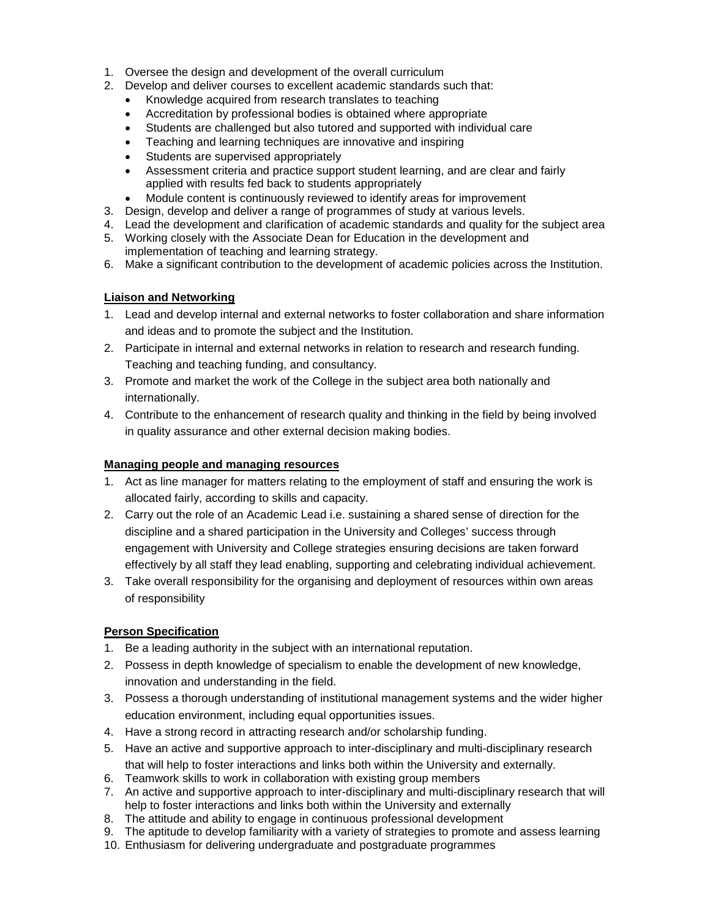- 1. Oversee the design and development of the overall curriculum
- 2. Develop and deliver courses to excellent academic standards such that:
	- Knowledge acquired from research translates to teaching
	- Accreditation by professional bodies is obtained where appropriate
	- Students are challenged but also tutored and supported with individual care
	- Teaching and learning techniques are innovative and inspiring
	- Students are supervised appropriately
	- Assessment criteria and practice support student learning, and are clear and fairly applied with results fed back to students appropriately
	- Module content is continuously reviewed to identify areas for improvement
- 3. Design, develop and deliver a range of programmes of study at various levels.
- 4. Lead the development and clarification of academic standards and quality for the subject area
- 5. Working closely with the Associate Dean for Education in the development and implementation of teaching and learning strategy.
- 6. Make a significant contribution to the development of academic policies across the Institution.

## **Liaison and Networking**

- 1. Lead and develop internal and external networks to foster collaboration and share information and ideas and to promote the subject and the Institution.
- 2. Participate in internal and external networks in relation to research and research funding. Teaching and teaching funding, and consultancy.
- 3. Promote and market the work of the College in the subject area both nationally and internationally.
- 4. Contribute to the enhancement of research quality and thinking in the field by being involved in quality assurance and other external decision making bodies.

## **Managing people and managing resources**

- 1. Act as line manager for matters relating to the employment of staff and ensuring the work is allocated fairly, according to skills and capacity.
- 2. Carry out the role of an Academic Lead i.e. sustaining a shared sense of direction for the discipline and a shared participation in the University and Colleges' success through engagement with University and College strategies ensuring decisions are taken forward effectively by all staff they lead enabling, supporting and celebrating individual achievement.
- 3. Take overall responsibility for the organising and deployment of resources within own areas of responsibility

# **Person Specification**

- 1. Be a leading authority in the subject with an international reputation.
- 2. Possess in depth knowledge of specialism to enable the development of new knowledge, innovation and understanding in the field.
- 3. Possess a thorough understanding of institutional management systems and the wider higher education environment, including equal opportunities issues.
- 4. Have a strong record in attracting research and/or scholarship funding.
- 5. Have an active and supportive approach to inter-disciplinary and multi-disciplinary research that will help to foster interactions and links both within the University and externally.
- 6. Teamwork skills to work in collaboration with existing group members
- 7. An active and supportive approach to inter-disciplinary and multi-disciplinary research that will help to foster interactions and links both within the University and externally
- 8. The attitude and ability to engage in continuous professional development
- 9. The aptitude to develop familiarity with a variety of strategies to promote and assess learning
- 10. Enthusiasm for delivering undergraduate and postgraduate programmes